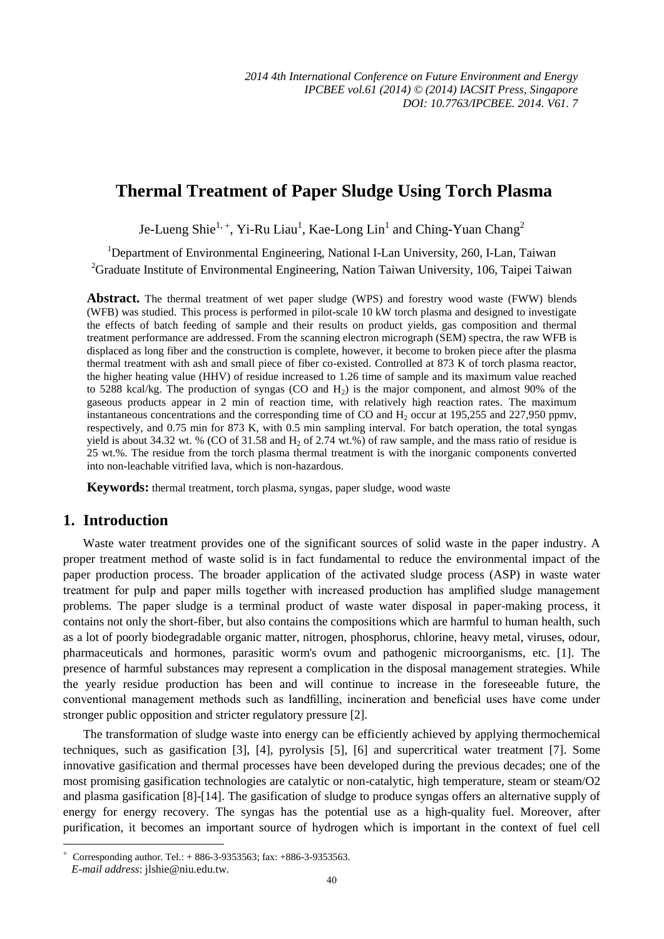# **Thermal Treatment of Paper Sludge Using Torch Plasma**

Je-Lueng Shie $^{1,+}$ , Yi-Ru Liau $^1$ , Kae-Long Lin $^1$  and Ching-Yuan Chang $^2$ 

<sup>1</sup>Department of Environmental Engineering, National I-Lan University, 260, I-Lan, Taiwan

<sup>2</sup>Graduate Institute of Environmental Engineering, Nation Taiwan University, 106, Taipei Taiwan

Abstract. The thermal treatment of wet paper sludge (WPS) and forestry wood waste (FWW) blends (WFB) was studied. This process is performed in pilot-scale 10 kW torch plasma and designed to investigate the effects of batch feeding of sample and their results on product yields, gas composition and thermal treatment performance are addressed. From the scanning electron micrograph (SEM) spectra, the raw WFB is displaced as long fiber and the construction is complete, however, it become to broken piece after the plasma thermal treatment with ash and small piece of fiber co-existed. Controlled at 873 K of torch plasma reactor, the higher heating value (HHV) of residue increased to 1.26 time of sample and its maximum value reached to 5288 kcal/kg. The production of syngas (CO and  $H_2$ ) is the major component, and almost 90% of the gaseous products appear in 2 min of reaction time, with relatively high reaction rates. The maximum instantaneous concentrations and the corresponding time of CO and H2 occur at 195,255 and 227,950 ppmv, respectively, and 0.75 min for 873 K, with 0.5 min sampling interval. For batch operation, the total syngas yield is about 34.32 wt. % (CO of 31.58 and  $H_2$  of 2.74 wt.%) of raw sample, and the mass ratio of residue is 25 wt.%. The residue from the torch plasma thermal treatment is with the inorganic components converted into non-leachable vitrified lava, which is non-hazardous.

**Keywords:** thermal treatment, torch plasma, syngas, paper sludge, wood waste

## **1. Introduction**

-

Waste water treatment provides one of the significant sources of solid waste in the paper industry. A proper treatment method of waste solid is in fact fundamental to reduce the environmental impact of the paper production process. The broader application of the activated sludge process (ASP) in waste water treatment for pulp and paper mills together with increased production has amplified sludge management problems. The paper sludge is a terminal product of waste water disposal in paper-making process, it contains not only the short-fiber, but also contains the compositions which are harmful to human health, such as a lot of poorly biodegradable organic matter, nitrogen, phosphorus, chlorine, heavy metal, viruses, odour, pharmaceuticals and hormones, parasitic worm's ovum and pathogenic microorganisms, etc. [1]. The presence of harmful substances may represent a complication in the disposal management strategies. While the yearly residue production has been and will continue to increase in the foreseeable future, the conventional management methods such as landfilling, incineration and beneficial uses have come under stronger public opposition and stricter regulatory pressure [2].

The transformation of sludge waste into energy can be efficiently achieved by applying thermochemical techniques, such as gasification [3], [4], pyrolysis [5], [6] and supercritical water treatment [7]. Some innovative gasification and thermal processes have been developed during the previous decades; one of the most promising gasification technologies are catalytic or non-catalytic, high temperature, steam or steam/O2 and plasma gasification [8]-[14]. The gasification of sludge to produce syngas offers an alternative supply of energy for energy recovery. The syngas has the potential use as a high-quality fuel. Moreover, after purification, it becomes an important source of hydrogen which is important in the context of fuel cell

 $^{+}$  Corresponding author. Tel.: + 886-3-9353563; fax: +886-3-9353563. *E-mail address*: jlshie@niu.edu.tw.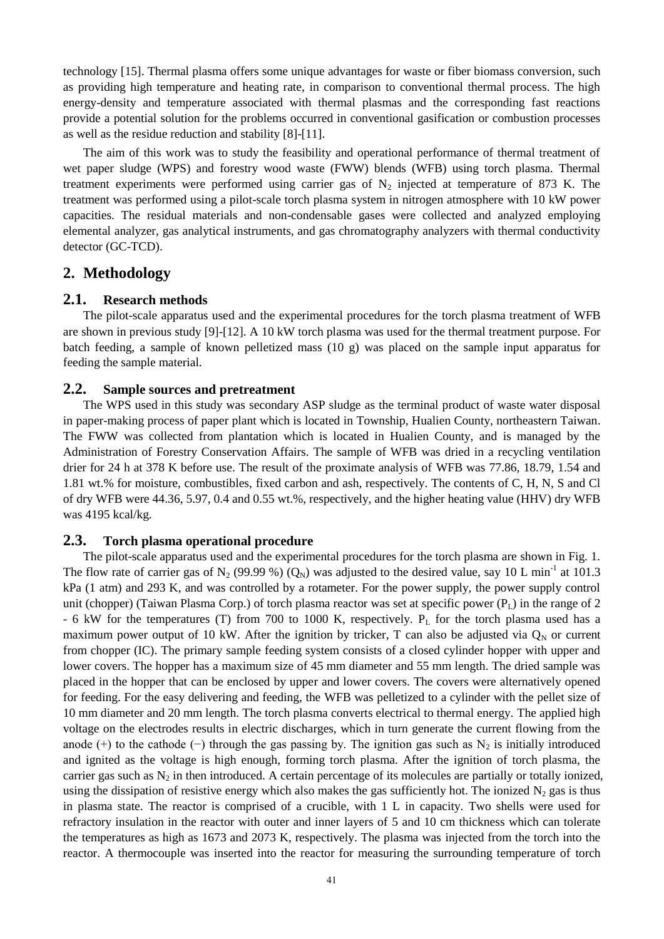technology [15]. Thermal plasma offers some unique advantages for waste or fiber biomass conversion, such as providing high temperature and heating rate, in comparison to conventional thermal process. The high energy-density and temperature associated with thermal plasmas and the corresponding fast reactions provide a potential solution for the problems occurred in conventional gasification or combustion processes as well as the residue reduction and stability [8]-[11].

The aim of this work was to study the feasibility and operational performance of thermal treatment of wet paper sludge (WPS) and forestry wood waste (FWW) blends (WFB) using torch plasma. Thermal treatment experiments were performed using carrier gas of  $N_2$  injected at temperature of 873 K. The treatment was performed using a pilot-scale torch plasma system in nitrogen atmosphere with 10 kW power capacities. The residual materials and non-condensable gases were collected and analyzed employing elemental analyzer, gas analytical instruments, and gas chromatography analyzers with thermal conductivity detector (GC-TCD).

### **2. Methodology**

#### **2.1. Research methods**

The pilot-scale apparatus used and the experimental procedures for the torch plasma treatment of WFB are shown in previous study [9]-[12]. A 10 kW torch plasma was used for the thermal treatment purpose. For batch feeding, a sample of known pelletized mass (10 g) was placed on the sample input apparatus for feeding the sample material.

#### **2.2. Sample sources and pretreatment**

The WPS used in this study was secondary ASP sludge as the terminal product of waste water disposal in paper-making process of paper plant which is located in Township, Hualien County, northeastern Taiwan. The FWW was collected from plantation which is located in Hualien County, and is managed by the Administration of Forestry Conservation Affairs. The sample of WFB was dried in a recycling ventilation drier for 24 h at 378 K before use. The result of the proximate analysis of WFB was 77.86, 18.79, 1.54 and 1.81 wt.% for moisture, combustibles, fixed carbon and ash, respectively. The contents of C, H, N, S and Cl of dry WFB were 44.36, 5.97, 0.4 and 0.55 wt.%, respectively, and the higher heating value (HHV) dry WFB was 4195 kcal/kg.

#### **2.3. Torch plasma operational procedure**

The pilot-scale apparatus used and the experimental procedures for the torch plasma are shown in Fig. 1. The flow rate of carrier gas of N<sub>2</sub> (99.99 %) (Q<sub>N</sub>) was adjusted to the desired value, say 10 L min<sup>-1</sup> at 101.3 kPa (1 atm) and 293 K, and was controlled by a rotameter. For the power supply, the power supply control unit (chopper) (Taiwan Plasma Corp.) of torch plasma reactor was set at specific power  $(P_L)$  in the range of 2 - 6 kW for the temperatures (T) from 700 to 1000 K, respectively.  $P_L$  for the torch plasma used has a maximum power output of 10 kW. After the ignition by tricker, T can also be adjusted via  $Q_N$  or current from chopper (IC). The primary sample feeding system consists of a closed cylinder hopper with upper and lower covers. The hopper has a maximum size of 45 mm diameter and 55 mm length. The dried sample was placed in the hopper that can be enclosed by upper and lower covers. The covers were alternatively opened for feeding. For the easy delivering and feeding, the WFB was pelletized to a cylinder with the pellet size of 10 mm diameter and 20 mm length. The torch plasma converts electrical to thermal energy. The applied high voltage on the electrodes results in electric discharges, which in turn generate the current flowing from the anode (+) to the cathode (−) through the gas passing by. The ignition gas such as  $N_2$  is initially introduced and ignited as the voltage is high enough, forming torch plasma. After the ignition of torch plasma, the carrier gas such as  $N_2$  in then introduced. A certain percentage of its molecules are partially or totally ionized, using the dissipation of resistive energy which also makes the gas sufficiently hot. The ionized  $N_2$  gas is thus in plasma state. The reactor is comprised of a crucible, with 1 L in capacity. Two shells were used for refractory insulation in the reactor with outer and inner layers of 5 and 10 cm thickness which can tolerate the temperatures as high as 1673 and 2073 K, respectively. The plasma was injected from the torch into the reactor. A thermocouple was inserted into the reactor for measuring the surrounding temperature of torch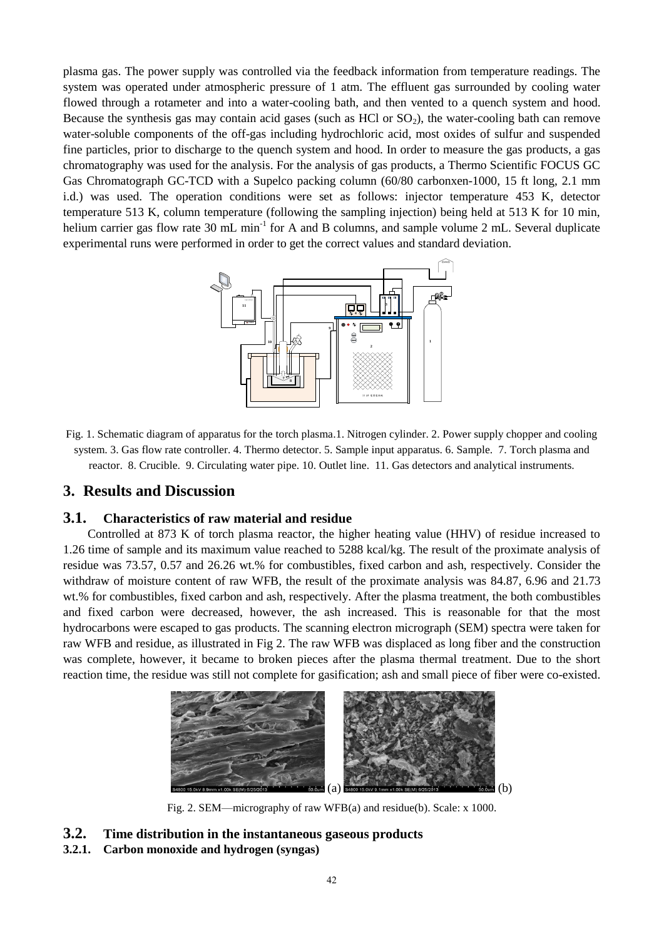plasma gas. The power supply was controlled via the feedback information from temperature readings. The system was operated under atmospheric pressure of 1 atm. The effluent gas surrounded by cooling water flowed through a rotameter and into a water-cooling bath, and then vented to a quench system and hood. Because the synthesis gas may contain acid gases (such as HCl or  $SO<sub>2</sub>$ ), the water-cooling bath can remove water-soluble components of the off-gas including hydrochloric acid, most oxides of sulfur and suspended fine particles, prior to discharge to the quench system and hood. In order to measure the gas products, a gas chromatography was used for the analysis. For the analysis of gas products, a Thermo Scientific FOCUS GC Gas Chromatograph GC-TCD with a Supelco packing column (60/80 carbonxen-1000, 15 ft long, 2.1 mm i.d.) was used. The operation conditions were set as follows: injector temperature 453 K, detector temperature 513 K, column temperature (following the sampling injection) being held at 513 K for 10 min, helium carrier gas flow rate 30 mL min<sup>-1</sup> for A and B columns, and sample volume 2 mL. Several duplicate experimental runs were performed in order to get the correct values and standard deviation.



Fig. 1. Schematic diagram of apparatus for the torch plasma.1. Nitrogen cylinder. 2. Power supply chopper and cooling system. 3. Gas flow rate controller. 4. Thermo detector. 5. Sample input apparatus. 6. Sample. 7. Torch plasma and reactor. 8. Crucible. 9. Circulating water pipe. 10. Outlet line. 11. Gas detectors and analytical instruments.

# **3. Results and Discussion**

#### **3.1. Characteristics of raw material and residue**

Controlled at 873 K of torch plasma reactor, the higher heating value (HHV) of residue increased to 1.26 time of sample and its maximum value reached to 5288 kcal/kg. The result of the proximate analysis of residue was 73.57, 0.57 and 26.26 wt.% for combustibles, fixed carbon and ash, respectively. Consider the withdraw of moisture content of raw WFB, the result of the proximate analysis was 84.87, 6.96 and 21.73 wt.% for combustibles, fixed carbon and ash, respectively. After the plasma treatment, the both combustibles and fixed carbon were decreased, however, the ash increased. This is reasonable for that the most hydrocarbons were escaped to gas products. The scanning electron micrograph (SEM) spectra were taken for raw WFB and residue, as illustrated in Fig 2. The raw WFB was displaced as long fiber and the construction was complete, however, it became to broken pieces after the plasma thermal treatment. Due to the short reaction time, the residue was still not complete for gasification; ash and small piece of fiber were co-existed.



Fig. 2. SEM—micrography of raw WFB(a) and residue(b). Scale: x 1000.

#### **3.2. Time distribution in the instantaneous gaseous products**

#### **3.2.1. Carbon monoxide and hydrogen (syngas)**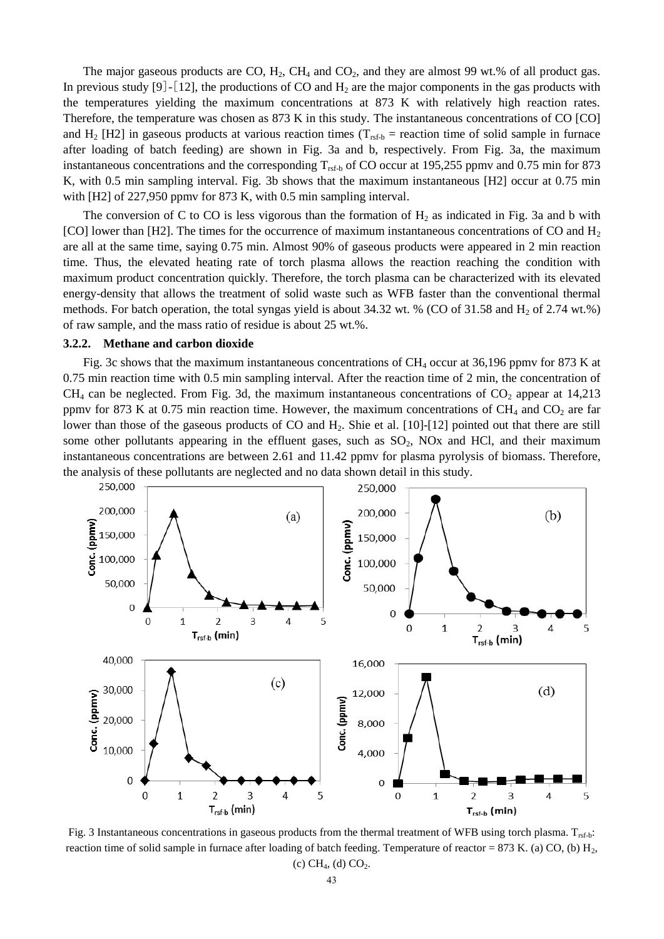The major gaseous products are  $CO$ ,  $H_2$ ,  $CH_4$  and  $CO_2$ , and they are almost 99 wt.% of all product gas. In previous study [9] - [12], the productions of CO and  $H_2$  are the major components in the gas products with the temperatures yielding the maximum concentrations at 873 K with relatively high reaction rates. Therefore, the temperature was chosen as 873 K in this study. The instantaneous concentrations of CO [CO] and H<sub>2</sub> [H2] in gaseous products at various reaction times ( $T_{rsf-b}$  = reaction time of solid sample in furnace after loading of batch feeding) are shown in Fig. 3a and b, respectively. From Fig. 3a, the maximum instantaneous concentrations and the corresponding  $T_{\text{rsf-b}}$  of CO occur at 195,255 ppmv and 0.75 min for 873 K, with 0.5 min sampling interval. Fig. 3b shows that the maximum instantaneous [H2] occur at 0.75 min with [H2] of 227,950 ppmv for 873 K, with 0.5 min sampling interval.

The conversion of C to CO is less vigorous than the formation of  $H_2$  as indicated in Fig. 3a and b with [CO] lower than [H2]. The times for the occurrence of maximum instantaneous concentrations of CO and  $H_2$ are all at the same time, saying 0.75 min. Almost 90% of gaseous products were appeared in 2 min reaction time. Thus, the elevated heating rate of torch plasma allows the reaction reaching the condition with maximum product concentration quickly. Therefore, the torch plasma can be characterized with its elevated energy-density that allows the treatment of solid waste such as WFB faster than the conventional thermal methods. For batch operation, the total syngas yield is about 34.32 wt. % (CO of 31.58 and  $H_2$  of 2.74 wt.%) of raw sample, and the mass ratio of residue is about 25 wt.%.

#### **3.2.2. Methane and carbon dioxide**

Fig. 3c shows that the maximum instantaneous concentrations of CH<sub>4</sub> occur at 36,196 ppmv for 873 K at 0.75 min reaction time with 0.5 min sampling interval. After the reaction time of 2 min, the concentration of  $CH<sub>4</sub>$  can be neglected. From Fig. 3d, the maximum instantaneous concentrations of  $CO<sub>2</sub>$  appear at 14,213 ppmv for 873 K at 0.75 min reaction time. However, the maximum concentrations of  $CH_4$  and  $CO_2$  are far lower than those of the gaseous products of CO and H<sub>2</sub>. Shie et al. [10]-[12] pointed out that there are still some other pollutants appearing in the effluent gases, such as  $SO<sub>2</sub>$ , NOx and HCl, and their maximum instantaneous concentrations are between 2.61 and 11.42 ppmv for plasma pyrolysis of biomass. Therefore, the analysis of these pollutants are neglected and no data shown detail in this study.



Fig. 3 Instantaneous concentrations in gaseous products from the thermal treatment of WFB using torch plasma.  $T_{\text{ref-b}}$ : reaction time of solid sample in furnace after loading of batch feeding. Temperature of reactor = 873 K. (a) CO, (b) H<sub>2</sub>, (c)  $CH_4$ , (d)  $CO_2$ .